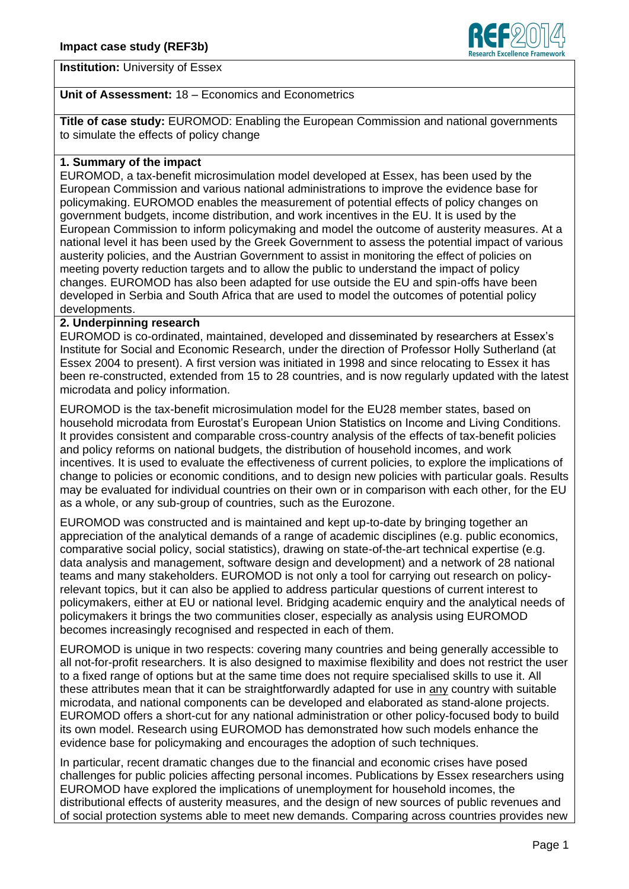

## **Institution:** University of Essex

### **Unit of Assessment:** 18 – Economics and Econometrics

**Title of case study:** EUROMOD: Enabling the European Commission and national governments to simulate the effects of policy change

## **1. Summary of the impact**

EUROMOD, a tax-benefit microsimulation model developed at Essex, has been used by the European Commission and various national administrations to improve the evidence base for policymaking. EUROMOD enables the measurement of potential effects of policy changes on government budgets, income distribution, and work incentives in the EU. It is used by the European Commission to inform policymaking and model the outcome of austerity measures. At a national level it has been used by the Greek Government to assess the potential impact of various austerity policies, and the Austrian Government to assist in monitoring the effect of policies on meeting poverty reduction targets and to allow the public to understand the impact of policy changes. EUROMOD has also been adapted for use outside the EU and spin-offs have been developed in Serbia and South Africa that are used to model the outcomes of potential policy developments.

#### **2. Underpinning research**

EUROMOD is co-ordinated, maintained, developed and disseminated by researchers at Essex's Institute for Social and Economic Research, under the direction of Professor Holly Sutherland (at Essex 2004 to present). A first version was initiated in 1998 and since relocating to Essex it has been re-constructed, extended from 15 to 28 countries, and is now regularly updated with the latest microdata and policy information.

EUROMOD is the tax-benefit microsimulation model for the EU28 member states, based on household microdata from Eurostat's European Union Statistics on Income and Living Conditions. It provides consistent and comparable cross-country analysis of the effects of tax-benefit policies and policy reforms on national budgets, the distribution of household incomes, and work incentives. It is used to evaluate the effectiveness of current policies, to explore the implications of change to policies or economic conditions, and to design new policies with particular goals. Results may be evaluated for individual countries on their own or in comparison with each other, for the EU as a whole, or any sub-group of countries, such as the Eurozone.

EUROMOD was constructed and is maintained and kept up-to-date by bringing together an appreciation of the analytical demands of a range of academic disciplines (e.g. public economics, comparative social policy, social statistics), drawing on state-of-the-art technical expertise (e.g. data analysis and management, software design and development) and a network of 28 national teams and many stakeholders. EUROMOD is not only a tool for carrying out research on policyrelevant topics, but it can also be applied to address particular questions of current interest to policymakers, either at EU or national level. Bridging academic enquiry and the analytical needs of policymakers it brings the two communities closer, especially as analysis using EUROMOD becomes increasingly recognised and respected in each of them.

EUROMOD is unique in two respects: covering many countries and being generally accessible to all not-for-profit researchers. It is also designed to maximise flexibility and does not restrict the user to a fixed range of options but at the same time does not require specialised skills to use it. All these attributes mean that it can be straightforwardly adapted for use in any country with suitable microdata, and national components can be developed and elaborated as stand-alone projects. EUROMOD offers a short-cut for any national administration or other policy-focused body to build its own model. Research using EUROMOD has demonstrated how such models enhance the evidence base for policymaking and encourages the adoption of such techniques.

In particular, recent dramatic changes due to the financial and economic crises have posed challenges for public policies affecting personal incomes. Publications by Essex researchers using EUROMOD have explored the implications of unemployment for household incomes, the distributional effects of austerity measures, and the design of new sources of public revenues and of social protection systems able to meet new demands. Comparing across countries provides new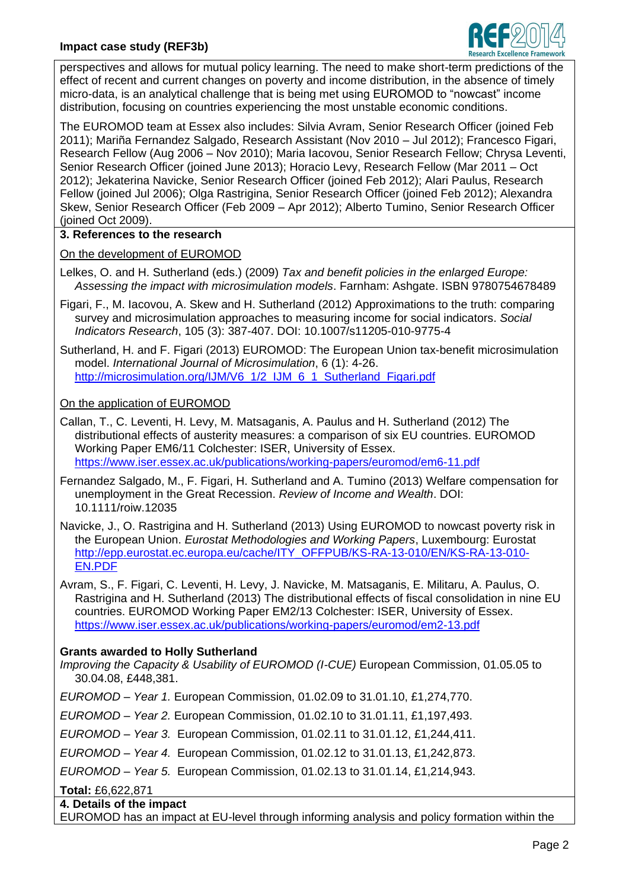

perspectives and allows for mutual policy learning. The need to make short-term predictions of the effect of recent and current changes on poverty and income distribution, in the absence of timely micro-data, is an analytical challenge that is being met using EUROMOD to "nowcast" income distribution, focusing on countries experiencing the most unstable economic conditions.

The EUROMOD team at Essex also includes: Silvia Avram, Senior Research Officer (joined Feb 2011); Mariña Fernandez Salgado, Research Assistant (Nov 2010 – Jul 2012); Francesco Figari, Research Fellow (Aug 2006 – Nov 2010); Maria Iacovou, Senior Research Fellow; Chrysa Leventi, Senior Research Officer (joined June 2013); Horacio Levy, Research Fellow (Mar 2011 – Oct 2012); Jekaterina Navicke, Senior Research Officer (joined Feb 2012); Alari Paulus, Research Fellow (joined Jul 2006); Olga Rastrigina, Senior Research Officer (joined Feb 2012); Alexandra Skew, Senior Research Officer (Feb 2009 – Apr 2012); Alberto Tumino, Senior Research Officer (joined Oct 2009).

## **3. References to the research**

On the development of EUROMOD

- Lelkes, O. and H. Sutherland (eds.) (2009) *Tax and benefit policies in the enlarged Europe: Assessing the impact with microsimulation models*. Farnham: Ashgate. ISBN 9780754678489
- Figari, F., M. Iacovou, A. Skew and H. Sutherland (2012) Approximations to the truth: comparing survey and microsimulation approaches to measuring income for social indicators. *Social Indicators Research*, 105 (3): 387-407. DOI: 10.1007/s11205-010-9775-4
- Sutherland, H. and F. Figari (2013) EUROMOD: The European Union tax-benefit microsimulation model. *International Journal of Microsimulation*, 6 (1): 4-26. [http://microsimulation.org/IJM/V6\\_1/2\\_IJM\\_6\\_1\\_Sutherland\\_Figari.pdf](http://microsimulation.org/IJM/V6_1/2_IJM_6_1_Sutherland_Figari.pdf)

## On the application of EUROMOD

- Callan, T., C. Leventi, H. Levy, M. Matsaganis, A. Paulus and H. Sutherland (2012) The distributional effects of austerity measures: a comparison of six EU countries. EUROMOD Working Paper EM6/11 Colchester: ISER, University of Essex. <https://www.iser.essex.ac.uk/publications/working-papers/euromod/em6-11.pdf>
- Fernandez Salgado, M., F. Figari, H. Sutherland and A. Tumino (2013) Welfare compensation for unemployment in the Great Recession. *Review of Income and Wealth*. DOI: 10.1111/roiw.12035
- Navicke, J., O. Rastrigina and H. Sutherland (2013) Using EUROMOD to nowcast poverty risk in the European Union. *Eurostat Methodologies and Working Papers*, Luxembourg: Eurostat [http://epp.eurostat.ec.europa.eu/cache/ITY\\_OFFPUB/KS-RA-13-010/EN/KS-RA-13-010-](http://epp.eurostat.ec.europa.eu/cache/ITY_OFFPUB/KS-RA-13-010/EN/KS-RA-13-010-EN.PDF) [EN.PDF](http://epp.eurostat.ec.europa.eu/cache/ITY_OFFPUB/KS-RA-13-010/EN/KS-RA-13-010-EN.PDF)
- Avram, S., F. Figari, C. Leventi, H. Levy, J. Navicke, M. Matsaganis, E. Militaru, A. Paulus, O. Rastrigina and H. Sutherland (2013) The distributional effects of fiscal consolidation in nine EU countries. EUROMOD Working Paper EM2/13 Colchester: ISER, University of Essex. <https://www.iser.essex.ac.uk/publications/working-papers/euromod/em2-13.pdf>

## **Grants awarded to Holly Sutherland**

- *Improving the Capacity & Usability of EUROMOD (I-CUE)* European Commission, 01.05.05 to 30.04.08, £448,381.
- *EUROMOD – Year 1.* European Commission, 01.02.09 to 31.01.10, £1,274,770.
- *EUROMOD – Year 2.* European Commission, 01.02.10 to 31.01.11, £1,197,493.
- *EUROMOD – Year 3.* European Commission, 01.02.11 to 31.01.12, £1,244,411.
- *EUROMOD – Year 4.* European Commission, 01.02.12 to 31.01.13, £1,242,873.
- *EUROMOD – Year 5.* European Commission, 01.02.13 to 31.01.14, £1,214,943.

**Total:** £6,622,871

- **4. Details of the impact**
- EUROMOD has an impact at EU-level through informing analysis and policy formation within the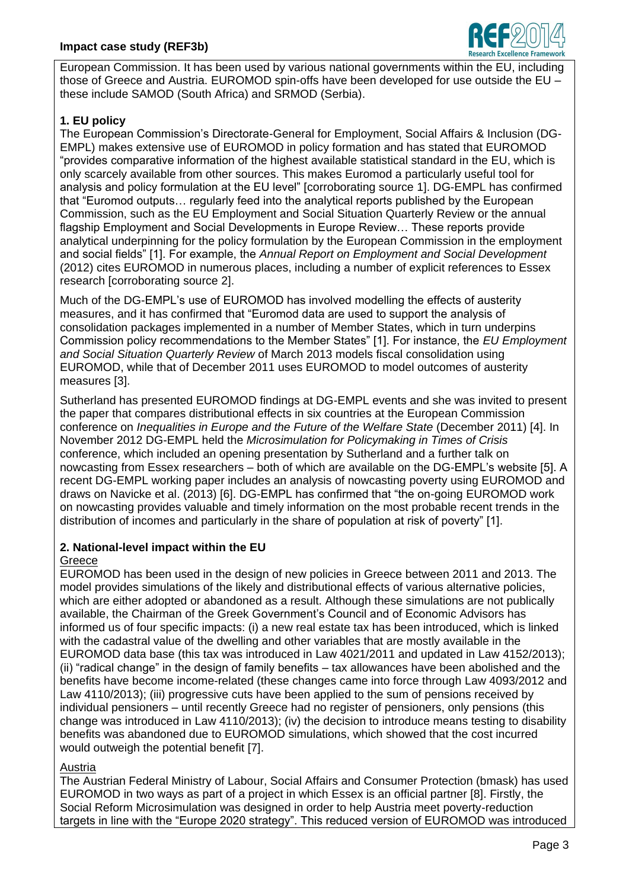

European Commission. It has been used by various national governments within the EU, including those of Greece and Austria. EUROMOD spin-offs have been developed for use outside the EU – these include SAMOD (South Africa) and SRMOD (Serbia).

# **1. EU policy**

The European Commission's Directorate-General for Employment, Social Affairs & Inclusion (DG-EMPL) makes extensive use of EUROMOD in policy formation and has stated that EUROMOD "provides comparative information of the highest available statistical standard in the EU, which is only scarcely available from other sources. This makes Euromod a particularly useful tool for analysis and policy formulation at the EU level" [corroborating source 1]. DG-EMPL has confirmed that "Euromod outputs… regularly feed into the analytical reports published by the European Commission, such as the EU Employment and Social Situation Quarterly Review or the annual flagship Employment and Social Developments in Europe Review… These reports provide analytical underpinning for the policy formulation by the European Commission in the employment and social fields" [1]. For example, the *Annual Report on Employment and Social Development* (2012) cites EUROMOD in numerous places, including a number of explicit references to Essex research [corroborating source 2].

Much of the DG-EMPL's use of EUROMOD has involved modelling the effects of austerity measures, and it has confirmed that "Euromod data are used to support the analysis of consolidation packages implemented in a number of Member States, which in turn underpins Commission policy recommendations to the Member States" [1]. For instance, the *EU Employment and Social Situation Quarterly Review* of March 2013 models fiscal consolidation using EUROMOD, while that of December 2011 uses EUROMOD to model outcomes of austerity measures [3].

Sutherland has presented EUROMOD findings at DG-EMPL events and she was invited to present the paper that compares distributional effects in six countries at the European Commission conference on *Inequalities in Europe and the Future of the Welfare State* (December 2011) [4]. In November 2012 DG-EMPL held the *Microsimulation for Policymaking in Times of Crisis* conference, which included an opening presentation by Sutherland and a further talk on nowcasting from Essex researchers – both of which are available on the DG-EMPL's website [5]. A recent DG-EMPL working paper includes an analysis of nowcasting poverty using EUROMOD and draws on Navicke et al. (2013) [6]. DG-EMPL has confirmed that "the on-going EUROMOD work on nowcasting provides valuable and timely information on the most probable recent trends in the distribution of incomes and particularly in the share of population at risk of poverty" [1].

### **2. National-level impact within the EU**

### Greece

EUROMOD has been used in the design of new policies in Greece between 2011 and 2013. The model provides simulations of the likely and distributional effects of various alternative policies, which are either adopted or abandoned as a result. Although these simulations are not publically available, the Chairman of the Greek Government's Council and of Economic Advisors has informed us of four specific impacts: (i) a new real estate tax has been introduced, which is linked with the cadastral value of the dwelling and other variables that are mostly available in the EUROMOD data base (this tax was introduced in Law 4021/2011 and updated in Law 4152/2013); (ii) "radical change" in the design of family benefits – tax allowances have been abolished and the benefits have become income-related (these changes came into force through Law 4093/2012 and Law 4110/2013); (iii) progressive cuts have been applied to the sum of pensions received by individual pensioners – until recently Greece had no register of pensioners, only pensions (this change was introduced in Law 4110/2013); (iv) the decision to introduce means testing to disability benefits was abandoned due to EUROMOD simulations, which showed that the cost incurred would outweigh the potential benefit [7].

### Austria

The Austrian Federal Ministry of Labour, Social Affairs and Consumer Protection (bmask) has used EUROMOD in two ways as part of a project in which Essex is an official partner [8]. Firstly, the Social Reform Microsimulation was designed in order to help Austria meet poverty-reduction targets in line with the "Europe 2020 strategy". This reduced version of EUROMOD was introduced